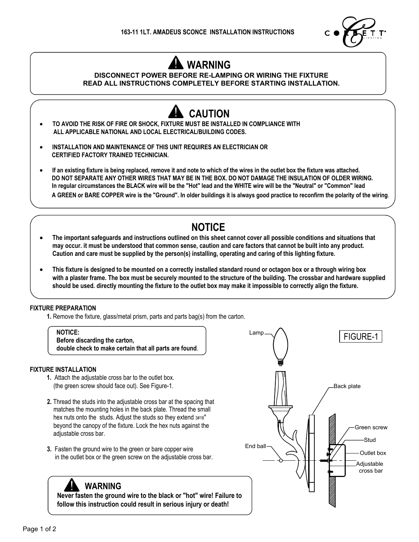

# **WARNING**

### **DISCONNECT POWER BEFORE RE-LAMPING OR WIRING THE FIXTURE READ ALL INSTRUCTIONS COMPLETELY BEFORE STARTING INSTALLATION.**



 **A GREEN or BARE COPPER wire is the "Ground". In older buildings it is always good practice to reconfirm the polarity of the wiring**.

## **NOTICE**

- **· The important safeguards and instructions outlined on this sheet cannot cover all possible conditions and situations that may occur. it must be understood that common sense, caution and care factors that cannot be built into any product. Caution and care must be supplied by the person(s) installing, operating and caring of this lighting fixture.**
- **· This fixture is designed to be mounted on a correctly installed standard round or octagon box or a through wiring box with a plaster frame. The box must be securely mounted to the structure of the building. The crossbar and hardware supplied should be used. directly mounting the fixture to the outlet box may make it impossible to correctly align the fixture.**

#### **FIXTURE PREPARATION**

**1.** Remove the fixture, glass/metal prism, parts and parts bag(s) from the carton.

**NOTICE:**

 **Before discarding the carton, double check to make certain that all parts are found**.

#### **FIXTURE INSTALLATION**

- **1.** Attach the adjustable cross bar to the outlet box. (the green screw should face out). See Figure-1.
- **2.** Thread the studs into the adjustable cross bar at the spacing that matches the mounting holes in the back plate. Thread the small hex nuts onto the studs. Adjust the studs so they extend  $3#16"$  beyond the canopy of the fixture. Lock the hex nuts against the adjustable cross bar.
- **3.** Fasten the ground wire to the green or bare copper wire in the outlet box or the green screw on the adjustable cross bar.

### **WARNING**

 **Never fasten the ground wire to the black or "hot" wire! Failure to follow this instruction could result in serious injury or death!**